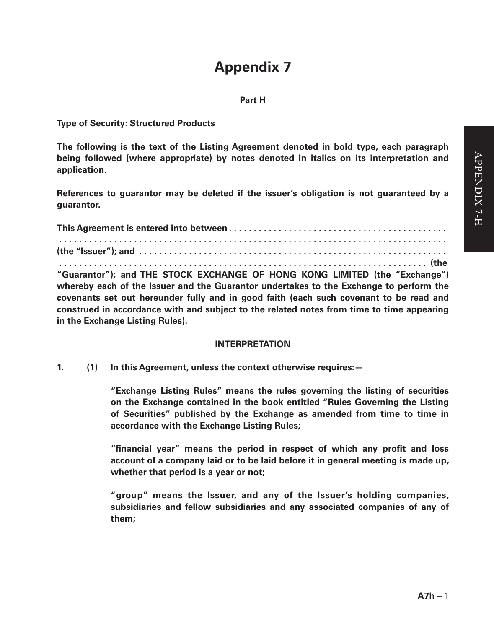# **Appendix 7**

#### **Part H**

**Type of Security: Structured Products**

**The following is the text of the Listing Agreement denoted in bold type, each paragraph being followed (where appropriate) by notes denoted in italics on its interpretation and application.**

**References to guarantor may be deleted if the issuer's obligation is not guaranteed by a guarantor.**

**This Agreement is entered into between . . . . . . . . . . . . . . . . . . . . . . . . . . . . . . . . . . . . . . . . . . . . . . . . . . . . . . . . . . . . . . . . . . . . . . . . . . . . . . . (the "Issuer"); and .** 

 **. . . . . . . . . . . . . . . . . . . . . . . . . . . . . . . . . . . . . . . . . . . . . . . . . . . . . . . . . . . . . . . . . . . . . . . . . . (the "Guarantor"); and THE STOCK EXCHANGE OF HONG KONG LIMITED (the "Exchange") whereby each of the Issuer and the Guarantor undertakes to the Exchange to perform the covenants set out hereunder fully and in good faith (each such covenant to be read and construed in accordance with and subject to the related notes from time to time appearing in the Exchange Listing Rules).**

#### **INTERPRETATION**

**1. (1) In this Agreement, unless the context otherwise requires:—**

**"Exchange Listing Rules" means the rules governing the listing of securities on the Exchange contained in the book entitled "Rules Governing the Listing of Securities" published by the Exchange as amended from time to time in accordance with the Exchange Listing Rules;**

**"financial year" means the period in respect of which any profit and loss account of a company laid or to be laid before it in general meeting is made up, whether that period is a year or not;**

**"group" means the Issuer, and any of the Issuer's holding companies, subsidiaries and fellow subsidiaries and any associated companies of any of them;**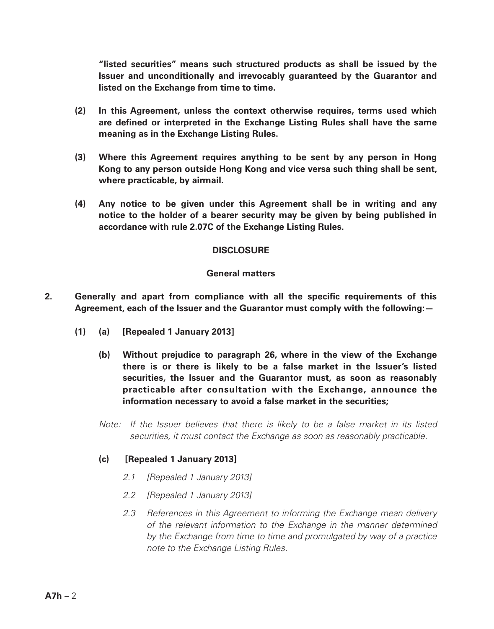**"listed securities" means such structured products as shall be issued by the Issuer and unconditionally and irrevocably guaranteed by the Guarantor and listed on the Exchange from time to time.**

- **(2) In this Agreement, unless the context otherwise requires, terms used which are defined or interpreted in the Exchange Listing Rules shall have the same meaning as in the Exchange Listing Rules.**
- **(3) Where this Agreement requires anything to be sent by any person in Hong Kong to any person outside Hong Kong and vice versa such thing shall be sent, where practicable, by airmail.**
- **(4) Any notice to be given under this Agreement shall be in writing and any notice to the holder of a bearer security may be given by being published in accordance with rule 2.07C of the Exchange Listing Rules.**

### **DISCLOSURE**

### **General matters**

- **2. Generally and apart from compliance with all the specific requirements of this Agreement, each of the Issuer and the Guarantor must comply with the following:—**
	- **(1) (a) [Repealed 1 January 2013]**
		- **(b) Without prejudice to paragraph 26, where in the view of the Exchange there is or there is likely to be a false market in the Issuer's listed securities, the Issuer and the Guarantor must, as soon as reasonably practicable after consultation with the Exchange, announce the information necessary to avoid a false market in the securities;**
		- *Note:* If the Issuer believes that there is likely to be a false market in its listed *securities, it must contact the Exchange as soon as reasonably practicable.*

#### **(c) [Repealed 1 January 2013]**

- *2.1 [Repealed 1 January 2013]*
- *2.2 [Repealed 1 January 2013]*
- *2.3 References in this Agreement to informing the Exchange mean delivery of the relevant information to the Exchange in the manner determined by the Exchange from time to time and promulgated by way of a practice note to the Exchange Listing Rules.*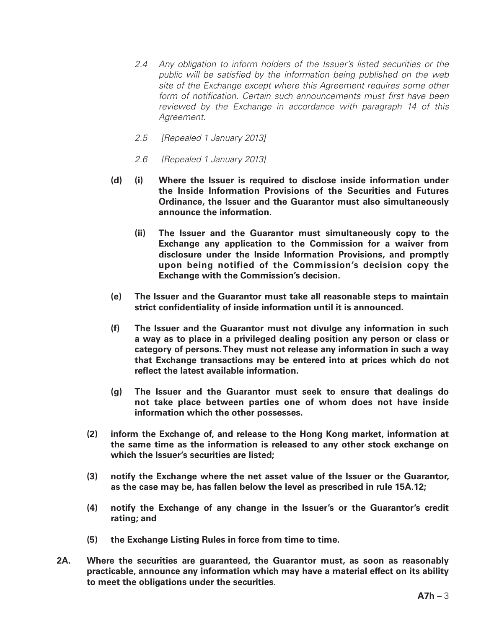- *2.4 Any obligation to inform holders of the Issuer's listed securities or the public will be satisfied by the information being published on the web site of the Exchange except where this Agreement requires some other form of notification. Certain such announcements must first have been reviewed by the Exchange in accordance with paragraph 14 of this Agreement.*
- *2.5 [Repealed 1 January 2013]*
- *2.6 [Repealed 1 January 2013]*
- **(d) (i) Where the Issuer is required to disclose inside information under the Inside Information Provisions of the Securities and Futures Ordinance, the Issuer and the Guarantor must also simultaneously announce the information.**
	- **(ii) The Issuer and the Guarantor must simultaneously copy to the Exchange any application to the Commission for a waiver from disclosure under the Inside Information Provisions, and promptly upon being notified of the Commission's decision copy the Exchange with the Commission's decision.**
- **(e) The Issuer and the Guarantor must take all reasonable steps to maintain strict confidentiality of inside information until it is announced.**
- **(f) The Issuer and the Guarantor must not divulge any information in such a way as to place in a privileged dealing position any person or class or category of persons. They must not release any information in such a way that Exchange transactions may be entered into at prices which do not reflect the latest available information.**
- **(g) The Issuer and the Guarantor must seek to ensure that dealings do not take place between parties one of whom does not have inside information which the other possesses.**
- **(2) inform the Exchange of, and release to the Hong Kong market, information at the same time as the information is released to any other stock exchange on which the Issuer's securities are listed;**
- **(3) notify the Exchange where the net asset value of the Issuer or the Guarantor, as the case may be, has fallen below the level as prescribed in rule 15A.12;**
- **(4) notify the Exchange of any change in the Issuer's or the Guarantor's credit rating; and**
- **(5) the Exchange Listing Rules in force from time to time.**
- **2A. Where the securities are guaranteed, the Guarantor must, as soon as reasonably practicable, announce any information which may have a material effect on its ability to meet the obligations under the securities.**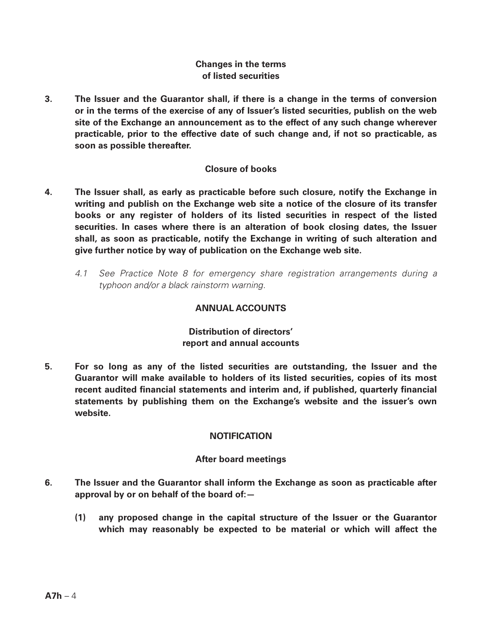## **Changes in the terms of listed securities**

**3. The Issuer and the Guarantor shall, if there is a change in the terms of conversion or in the terms of the exercise of any of Issuer's listed securities, publish on the web site of the Exchange an announcement as to the effect of any such change wherever practicable, prior to the effective date of such change and, if not so practicable, as soon as possible thereafter.**

## **Closure of books**

- **4. The Issuer shall, as early as practicable before such closure, notify the Exchange in writing and publish on the Exchange web site a notice of the closure of its transfer books or any register of holders of its listed securities in respect of the listed securities. In cases where there is an alteration of book closing dates, the Issuer shall, as soon as practicable, notify the Exchange in writing of such alteration and give further notice by way of publication on the Exchange web site.**
	- *4.1 See Practice Note 8 for emergency share registration arrangements during a typhoon and/or a black rainstorm warning.*

## **ANNUAL ACCOUNTS**

# **Distribution of directors' report and annual accounts**

**5. For so long as any of the listed securities are outstanding, the Issuer and the Guarantor will make available to holders of its listed securities, copies of its most recent audited financial statements and interim and, if published, quarterly financial statements by publishing them on the Exchange's website and the issuer's own website.**

## **NOTIFICATION**

## **After board meetings**

- **6. The Issuer and the Guarantor shall inform the Exchange as soon as practicable after approval by or on behalf of the board of:—**
	- **(1) any proposed change in the capital structure of the Issuer or the Guarantor which may reasonably be expected to be material or which will affect the**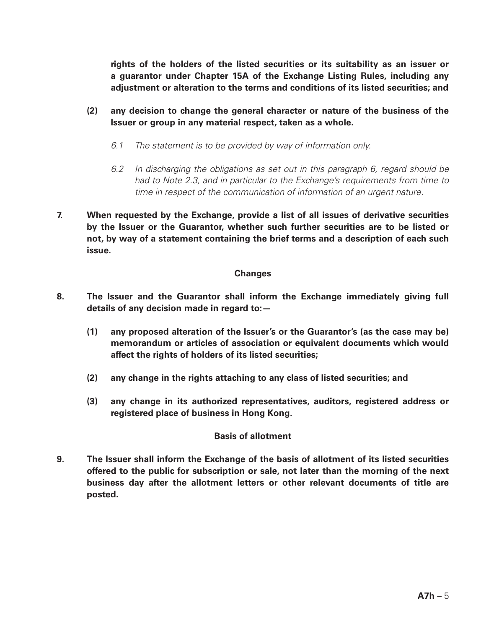**rights of the holders of the listed securities or its suitability as an issuer or a guarantor under Chapter 15A of the Exchange Listing Rules, including any adjustment or alteration to the terms and conditions of its listed securities; and**

- **(2) any decision to change the general character or nature of the business of the Issuer or group in any material respect, taken as a whole.**
	- *6.1 The statement is to be provided by way of information only.*
	- *6.2 In discharging the obligations as set out in this paragraph 6, regard should be had to Note 2.3, and in particular to the Exchange's requirements from time to time in respect of the communication of information of an urgent nature.*
- **7. When requested by the Exchange, provide a list of all issues of derivative securities by the Issuer or the Guarantor, whether such further securities are to be listed or not, by way of a statement containing the brief terms and a description of each such issue.**

### **Changes**

- **8. The Issuer and the Guarantor shall inform the Exchange immediately giving full details of any decision made in regard to:—**
	- **(1) any proposed alteration of the Issuer's or the Guarantor's (as the case may be) memorandum or articles of association or equivalent documents which would affect the rights of holders of its listed securities;**
	- **(2) any change in the rights attaching to any class of listed securities; and**
	- **(3) any change in its authorized representatives, auditors, registered address or registered place of business in Hong Kong.**

## **Basis of allotment**

**9. The Issuer shall inform the Exchange of the basis of allotment of its listed securities offered to the public for subscription or sale, not later than the morning of the next business day after the allotment letters or other relevant documents of title are posted.**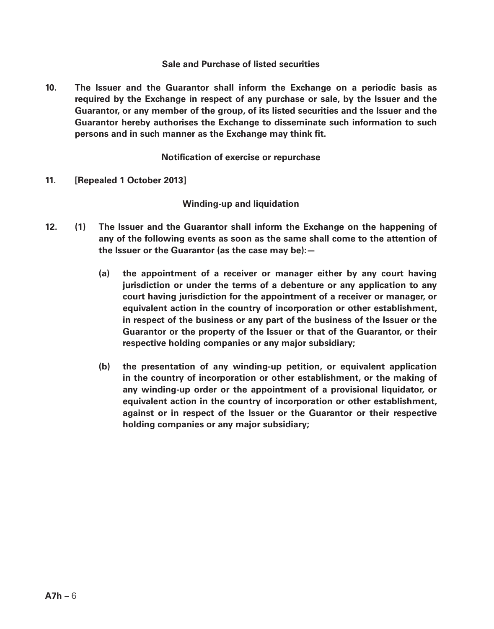#### **Sale and Purchase of listed securities**

**10. The Issuer and the Guarantor shall inform the Exchange on a periodic basis as required by the Exchange in respect of any purchase or sale, by the Issuer and the Guarantor, or any member of the group, of its listed securities and the Issuer and the Guarantor hereby authorises the Exchange to disseminate such information to such persons and in such manner as the Exchange may think fit.**

**Notification of exercise or repurchase**

**11. [Repealed 1 October 2013]**

**Winding-up and liquidation**

- **12. (1) The Issuer and the Guarantor shall inform the Exchange on the happening of any of the following events as soon as the same shall come to the attention of the Issuer or the Guarantor (as the case may be):—**
	- **(a) the appointment of a receiver or manager either by any court having jurisdiction or under the terms of a debenture or any application to any court having jurisdiction for the appointment of a receiver or manager, or equivalent action in the country of incorporation or other establishment, in respect of the business or any part of the business of the Issuer or the Guarantor or the property of the Issuer or that of the Guarantor, or their respective holding companies or any major subsidiary;**
	- **(b) the presentation of any winding-up petition, or equivalent application in the country of incorporation or other establishment, or the making of any winding-up order or the appointment of a provisional liquidator, or equivalent action in the country of incorporation or other establishment, against or in respect of the Issuer or the Guarantor or their respective holding companies or any major subsidiary;**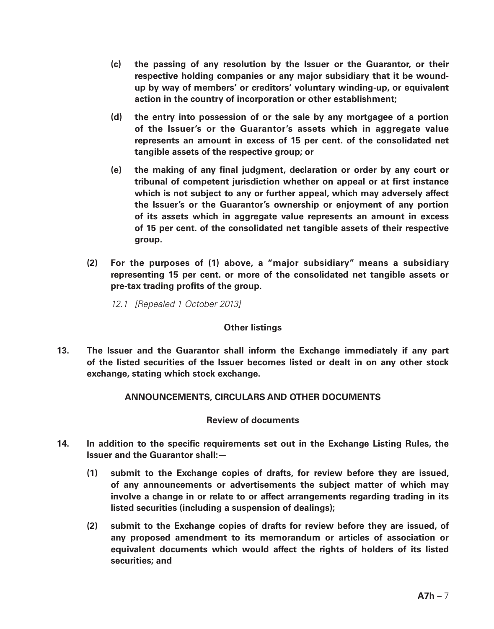- **(c) the passing of any resolution by the Issuer or the Guarantor, or their respective holding companies or any major subsidiary that it be woundup by way of members' or creditors' voluntary winding-up, or equivalent action in the country of incorporation or other establishment;**
- **(d) the entry into possession of or the sale by any mortgagee of a portion of the Issuer's or the Guarantor's assets which in aggregate value represents an amount in excess of 15 per cent. of the consolidated net tangible assets of the respective group; or**
- **(e) the making of any final judgment, declaration or order by any court or tribunal of competent jurisdiction whether on appeal or at first instance which is not subject to any or further appeal, which may adversely affect the Issuer's or the Guarantor's ownership or enjoyment of any portion of its assets which in aggregate value represents an amount in excess of 15 per cent. of the consolidated net tangible assets of their respective group.**
- **(2) For the purposes of (1) above, a "major subsidiary" means a subsidiary representing 15 per cent. or more of the consolidated net tangible assets or pre-tax trading profits of the group.**

*12.1 [Repealed 1 October 2013]*

#### **Other listings**

**13. The Issuer and the Guarantor shall inform the Exchange immediately if any part of the listed securities of the Issuer becomes listed or dealt in on any other stock exchange, stating which stock exchange.**

## **ANNOUNCEMENTS, CIRCULARS AND OTHER DOCUMENTS**

#### **Review of documents**

- **14. In addition to the specific requirements set out in the Exchange Listing Rules, the Issuer and the Guarantor shall:—**
	- **(1) submit to the Exchange copies of drafts, for review before they are issued, of any announcements or advertisements the subject matter of which may involve a change in or relate to or affect arrangements regarding trading in its listed securities (including a suspension of dealings);**
	- **(2) submit to the Exchange copies of drafts for review before they are issued, of any proposed amendment to its memorandum or articles of association or equivalent documents which would affect the rights of holders of its listed securities; and**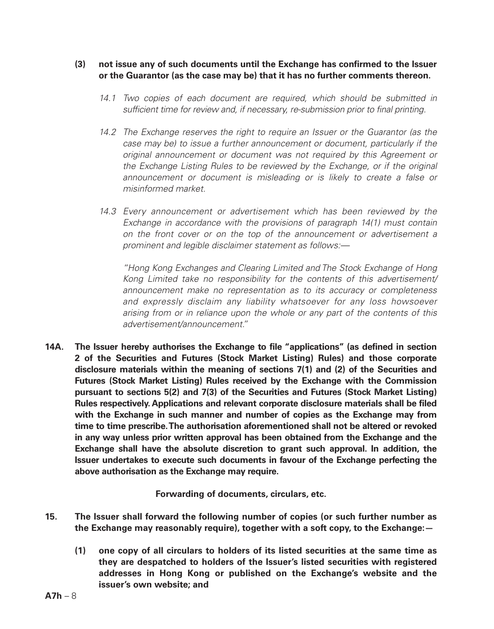#### **(3) not issue any of such documents until the Exchange has confirmed to the Issuer or the Guarantor (as the case may be) that it has no further comments thereon.**

- *14.1 Two copies of each document are required, which should be submitted in sufficient time for review and, if necessary, re-submission prior to final printing.*
- *14.2 The Exchange reserves the right to require an Issuer or the Guarantor (as the case may be) to issue a further announcement or document, particularly if the original announcement or document was not required by this Agreement or the Exchange Listing Rules to be reviewed by the Exchange, or if the original announcement or document is misleading or is likely to create a false or misinformed market.*
- *14.3 Every announcement or advertisement which has been reviewed by the Exchange in accordance with the provisions of paragraph 14(1) must contain on the front cover or on the top of the announcement or advertisement a prominent and legible disclaimer statement as follows:—*

*"Hong Kong Exchanges and Clearing Limited and The Stock Exchange of Hong Kong Limited take no responsibility for the contents of this advertisement/ announcement make no representation as to its accuracy or completeness and expressly disclaim any liability whatsoever for any loss howsoever arising from or in reliance upon the whole or any part of the contents of this advertisement/announcement."*

**14A. The Issuer hereby authorises the Exchange to file "applications" (as defined in section 2 of the Securities and Futures (Stock Market Listing) Rules) and those corporate disclosure materials within the meaning of sections 7(1) and (2) of the Securities and Futures (Stock Market Listing) Rules received by the Exchange with the Commission pursuant to sections 5(2) and 7(3) of the Securities and Futures (Stock Market Listing) Rules respectively. Applications and relevant corporate disclosure materials shall be filed with the Exchange in such manner and number of copies as the Exchange may from time to time prescribe. The authorisation aforementioned shall not be altered or revoked in any way unless prior written approval has been obtained from the Exchange and the Exchange shall have the absolute discretion to grant such approval. In addition, the Issuer undertakes to execute such documents in favour of the Exchange perfecting the above authorisation as the Exchange may require.**

**Forwarding of documents, circulars, etc.**

- **15. The Issuer shall forward the following number of copies (or such further number as the Exchange may reasonably require), together with a soft copy, to the Exchange:—**
	- **(1) one copy of all circulars to holders of its listed securities at the same time as they are despatched to holders of the Issuer's listed securities with registered addresses in Hong Kong or published on the Exchange's website and the issuer's own website; and**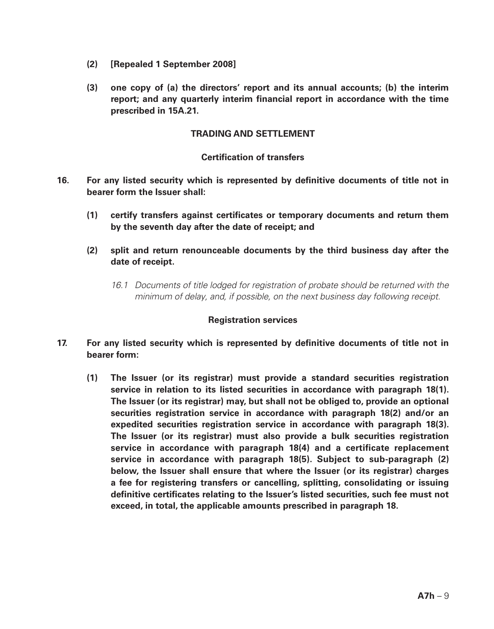- **(2) [Repealed 1 September 2008]**
- **(3) one copy of (a) the directors' report and its annual accounts; (b) the interim report; and any quarterly interim financial report in accordance with the time prescribed in 15A.21.**

#### **TRADING AND SETTLEMENT**

### **Certification of transfers**

- **16. For any listed security which is represented by definitive documents of title not in bearer form the Issuer shall:**
	- **(1) certify transfers against certificates or temporary documents and return them by the seventh day after the date of receipt; and**
	- **(2) split and return renounceable documents by the third business day after the date of receipt.**
		- *16.1 Documents of title lodged for registration of probate should be returned with the minimum of delay, and, if possible, on the next business day following receipt.*

#### **Registration services**

- **17. For any listed security which is represented by definitive documents of title not in bearer form:**
	- **(1) The Issuer (or its registrar) must provide a standard securities registration service in relation to its listed securities in accordance with paragraph 18(1). The Issuer (or its registrar) may, but shall not be obliged to, provide an optional securities registration service in accordance with paragraph 18(2) and/or an expedited securities registration service in accordance with paragraph 18(3). The Issuer (or its registrar) must also provide a bulk securities registration service in accordance with paragraph 18(4) and a certificate replacement service in accordance with paragraph 18(5). Subject to sub-paragraph (2) below, the Issuer shall ensure that where the Issuer (or its registrar) charges a fee for registering transfers or cancelling, splitting, consolidating or issuing definitive certificates relating to the Issuer's listed securities, such fee must not exceed, in total, the applicable amounts prescribed in paragraph 18.**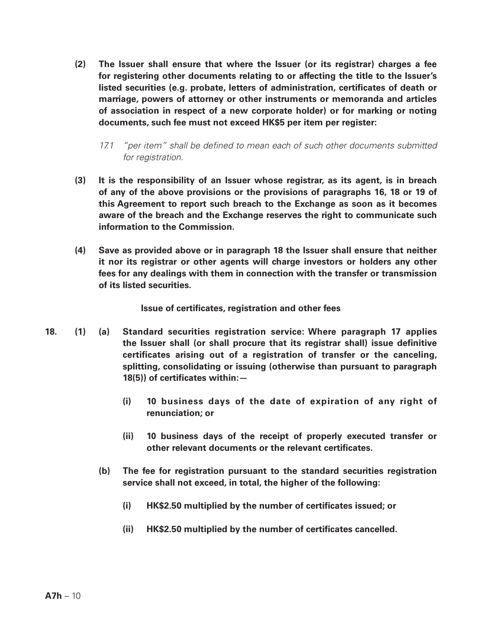- **(2) The Issuer shall ensure that where the Issuer (or its registrar) charges a fee for registering other documents relating to or affecting the title to the Issuer's listed securities (e.g. probate, letters of administration, certificates of death or marriage, powers of attorney or other instruments or memoranda and articles of association in respect of a new corporate holder) or for marking or noting documents, such fee must not exceed HK\$5 per item per register:**
	- *17.1 "per item" shall be defined to mean each of such other documents submitted for registration.*
- **(3) It is the responsibility of an Issuer whose registrar, as its agent, is in breach of any of the above provisions or the provisions of paragraphs 16, 18 or 19 of this Agreement to report such breach to the Exchange as soon as it becomes aware of the breach and the Exchange reserves the right to communicate such information to the Commission.**
- **(4) Save as provided above or in paragraph 18 the Issuer shall ensure that neither it nor its registrar or other agents will charge investors or holders any other fees for any dealings with them in connection with the transfer or transmission of its listed securities.**

**Issue of certificates, registration and other fees**

- **18. (1) (a) Standard securities registration service: Where paragraph 17 applies the Issuer shall (or shall procure that its registrar shall) issue definitive certificates arising out of a registration of transfer or the canceling, splitting, consolidating or issuing (otherwise than pursuant to paragraph 18(5)) of certificates within:—**
	- **(i) 10 business days of the date of expiration of any right of renunciation; or**
	- **(ii) 10 business days of the receipt of properly executed transfer or other relevant documents or the relevant certificates.**
	- **(b) The fee for registration pursuant to the standard securities registration service shall not exceed, in total, the higher of the following:**
		- **(i) HK\$2.50 multiplied by the number of certificates issued; or**
		- **(ii) HK\$2.50 multiplied by the number of certificates cancelled.**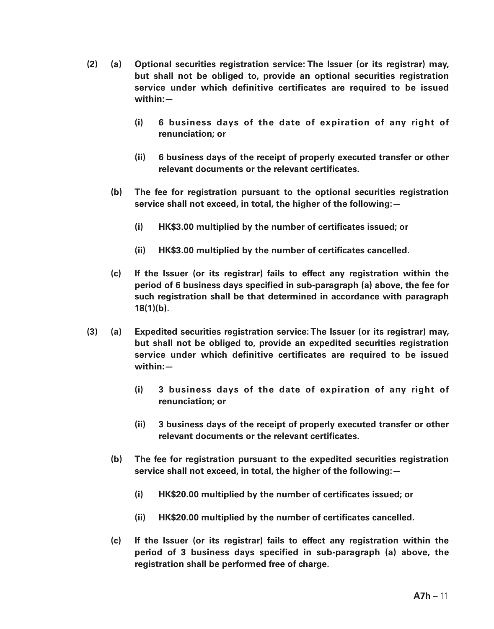- **(2) (a) Optional securities registration service: The Issuer (or its registrar) may, but shall not be obliged to, provide an optional securities registration service under which definitive certificates are required to be issued within:—**
	- **(i) 6 business days of the date of expiration of any right of renunciation; or**
	- **(ii) 6 business days of the receipt of properly executed transfer or other relevant documents or the relevant certificates.**
	- **(b) The fee for registration pursuant to the optional securities registration service shall not exceed, in total, the higher of the following:—**
		- **(i) HK\$3.00 multiplied by the number of certificates issued; or**
		- **(ii) HK\$3.00 multiplied by the number of certificates cancelled.**
	- **(c) If the Issuer (or its registrar) fails to effect any registration within the period of 6 business days specified in sub-paragraph (a) above, the fee for such registration shall be that determined in accordance with paragraph 18(1)(b).**
- **(3) (a) Expedited securities registration service: The Issuer (or its registrar) may, but shall not be obliged to, provide an expedited securities registration service under which definitive certificates are required to be issued within:—**
	- **(i) 3 business days of the date of expiration of any right of renunciation; or**
	- **(ii) 3 business days of the receipt of properly executed transfer or other relevant documents or the relevant certificates.**
	- **(b) The fee for registration pursuant to the expedited securities registration service shall not exceed, in total, the higher of the following:—**
		- **(i) HK\$20.00 multiplied by the number of certificates issued; or**
		- **(ii) HK\$20.00 multiplied by the number of certificates cancelled.**
	- **(c) If the Issuer (or its registrar) fails to effect any registration within the period of 3 business days specified in sub-paragraph (a) above, the registration shall be performed free of charge.**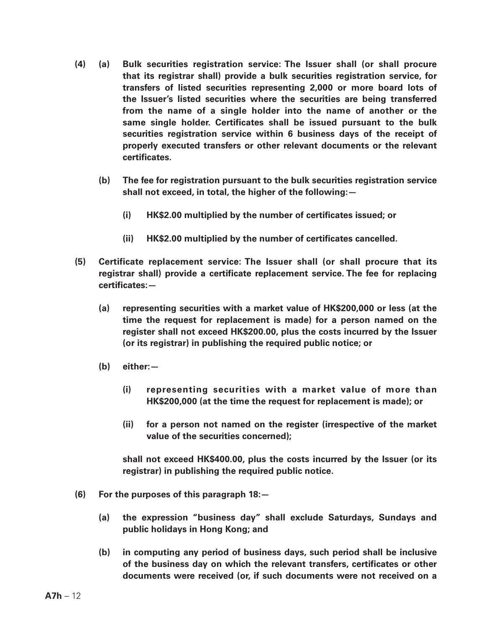- **(4) (a) Bulk securities registration service: The Issuer shall (or shall procure that its registrar shall) provide a bulk securities registration service, for transfers of listed securities representing 2,000 or more board lots of the Issuer's listed securities where the securities are being transferred from the name of a single holder into the name of another or the same single holder. Certificates shall be issued pursuant to the bulk securities registration service within 6 business days of the receipt of properly executed transfers or other relevant documents or the relevant certificates.**
	- **(b) The fee for registration pursuant to the bulk securities registration service shall not exceed, in total, the higher of the following:—**
		- **(i) HK\$2.00 multiplied by the number of certificates issued; or**
		- **(ii) HK\$2.00 multiplied by the number of certificates cancelled.**
- **(5) Certificate replacement service: The Issuer shall (or shall procure that its registrar shall) provide a certificate replacement service. The fee for replacing certificates:—**
	- **(a) representing securities with a market value of HK\$200,000 or less (at the time the request for replacement is made) for a person named on the register shall not exceed HK\$200.00, plus the costs incurred by the Issuer (or its registrar) in publishing the required public notice; or**
	- **(b) either:—**
		- **(i) representing securities with a market value of more than HK\$200,000 (at the time the request for replacement is made); or**
		- **(ii) for a person not named on the register (irrespective of the market value of the securities concerned);**

**shall not exceed HK\$400.00, plus the costs incurred by the Issuer (or its registrar) in publishing the required public notice.**

- **(6) For the purposes of this paragraph 18:—**
	- **(a) the expression "business day" shall exclude Saturdays, Sundays and public holidays in Hong Kong; and**
	- **(b) in computing any period of business days, such period shall be inclusive of the business day on which the relevant transfers, certificates or other documents were received (or, if such documents were not received on a**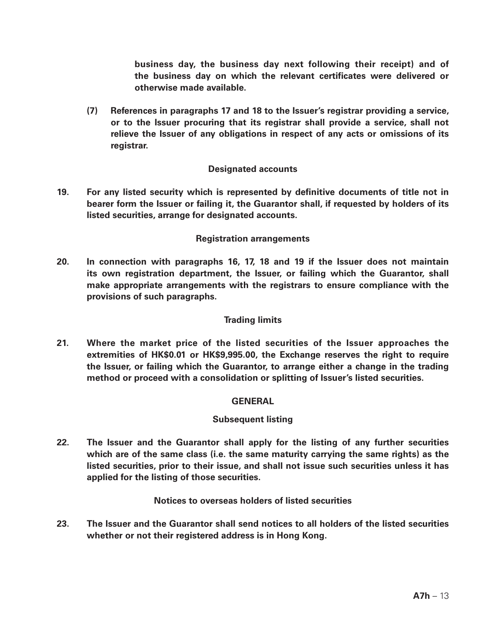**business day, the business day next following their receipt) and of the business day on which the relevant certificates were delivered or otherwise made available.**

**(7) References in paragraphs 17 and 18 to the Issuer's registrar providing a service, or to the Issuer procuring that its registrar shall provide a service, shall not relieve the Issuer of any obligations in respect of any acts or omissions of its registrar.**

### **Designated accounts**

**19. For any listed security which is represented by definitive documents of title not in bearer form the Issuer or failing it, the Guarantor shall, if requested by holders of its listed securities, arrange for designated accounts.**

### **Registration arrangements**

**20. In connection with paragraphs 16, 17, 18 and 19 if the Issuer does not maintain its own registration department, the Issuer, or failing which the Guarantor, shall make appropriate arrangements with the registrars to ensure compliance with the provisions of such paragraphs.**

## **Trading limits**

**21. Where the market price of the listed securities of the Issuer approaches the extremities of HK\$0.01 or HK\$9,995.00, the Exchange reserves the right to require the Issuer, or failing which the Guarantor, to arrange either a change in the trading method or proceed with a consolidation or splitting of Issuer's listed securities.**

#### **GENERAL**

#### **Subsequent listing**

**22. The Issuer and the Guarantor shall apply for the listing of any further securities which are of the same class (i.e. the same maturity carrying the same rights) as the listed securities, prior to their issue, and shall not issue such securities unless it has applied for the listing of those securities.**

### **Notices to overseas holders of listed securities**

**23. The Issuer and the Guarantor shall send notices to all holders of the listed securities whether or not their registered address is in Hong Kong.**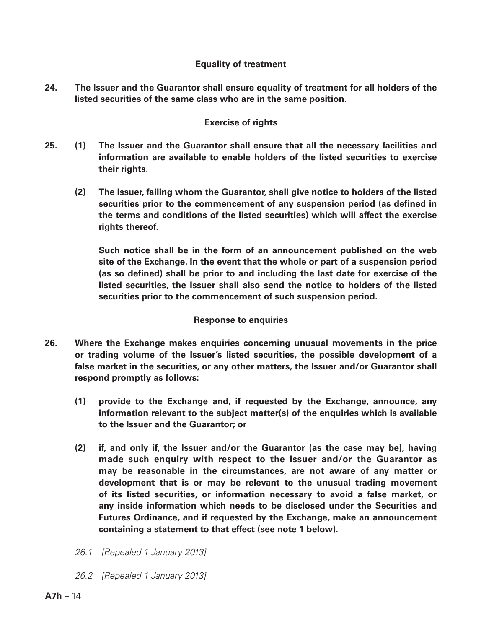## **Equality of treatment**

**24. The Issuer and the Guarantor shall ensure equality of treatment for all holders of the listed securities of the same class who are in the same position.**

#### **Exercise of rights**

- **25. (1) The Issuer and the Guarantor shall ensure that all the necessary facilities and information are available to enable holders of the listed securities to exercise their rights.**
	- **(2) The Issuer, failing whom the Guarantor, shall give notice to holders of the listed securities prior to the commencement of any suspension period (as defined in the terms and conditions of the listed securities) which will affect the exercise rights thereof.**

**Such notice shall be in the form of an announcement published on the web site of the Exchange. In the event that the whole or part of a suspension period (as so defined) shall be prior to and including the last date for exercise of the listed securities, the Issuer shall also send the notice to holders of the listed securities prior to the commencement of such suspension period.**

#### **Response to enquiries**

- **26. Where the Exchange makes enquiries concerning unusual movements in the price or trading volume of the Issuer's listed securities, the possible development of a false market in the securities, or any other matters, the Issuer and/or Guarantor shall respond promptly as follows:** 
	- **(1) provide to the Exchange and, if requested by the Exchange, announce, any information relevant to the subject matter(s) of the enquiries which is available to the Issuer and the Guarantor; or**
	- **(2) if, and only if, the Issuer and/or the Guarantor (as the case may be), having made such enquiry with respect to the Issuer and/or the Guarantor as may be reasonable in the circumstances, are not aware of any matter or development that is or may be relevant to the unusual trading movement of its listed securities, or information necessary to avoid a false market, or any inside information which needs to be disclosed under the Securities and Futures Ordinance, and if requested by the Exchange, make an announcement containing a statement to that effect (see note 1 below).**
	- *26.1 [Repealed 1 January 2013]*
	- *26.2 [Repealed 1 January 2013]*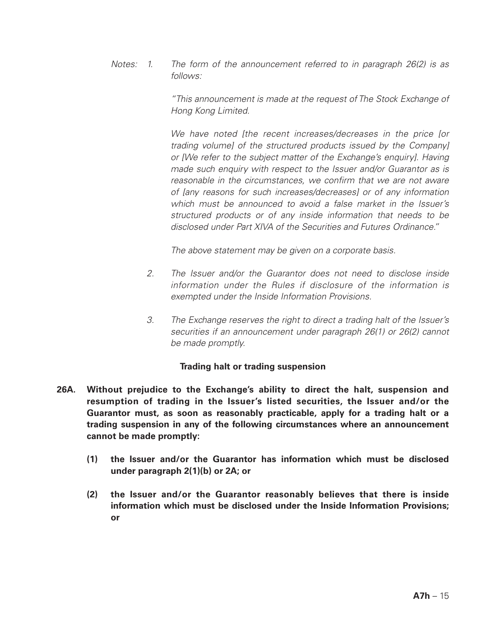*Notes: 1. The form of the announcement referred to in paragraph 26(2) is as follows:*

> *"This announcement is made at the request of The Stock Exchange of Hong Kong Limited.*

> *We have noted [the recent increases/decreases in the price [or trading volume] of the structured products issued by the Company] or [We refer to the subject matter of the Exchange's enquiry]. Having made such enquiry with respect to the Issuer and/or Guarantor as is*  reasonable in the circumstances, we confirm that we are not aware *of [any reasons for such increases/decreases] or of any information which must be announced to avoid a false market in the Issuer's structured products or of any inside information that needs to be disclosed under Part XIVA of the Securities and Futures Ordinance."*

*The above statement may be given on a corporate basis.*

- *2. The Issuer and/or the Guarantor does not need to disclose inside information under the Rules if disclosure of the information is exempted under the Inside Information Provisions.*
- *3. The Exchange reserves the right to direct a trading halt of the Issuer's securities if an announcement under paragraph 26(1) or 26(2) cannot be made promptly.*

#### **Trading halt or trading suspension**

- **26A. Without prejudice to the Exchange's ability to direct the halt, suspension and resumption of trading in the Issuer's listed securities, the Issuer and/or the Guarantor must, as soon as reasonably practicable, apply for a trading halt or a trading suspension in any of the following circumstances where an announcement cannot be made promptly:**
	- **(1) the Issuer and/or the Guarantor has information which must be disclosed under paragraph 2(1)(b) or 2A; or**
	- **(2) the Issuer and/or the Guarantor reasonably believes that there is inside information which must be disclosed under the Inside Information Provisions; or**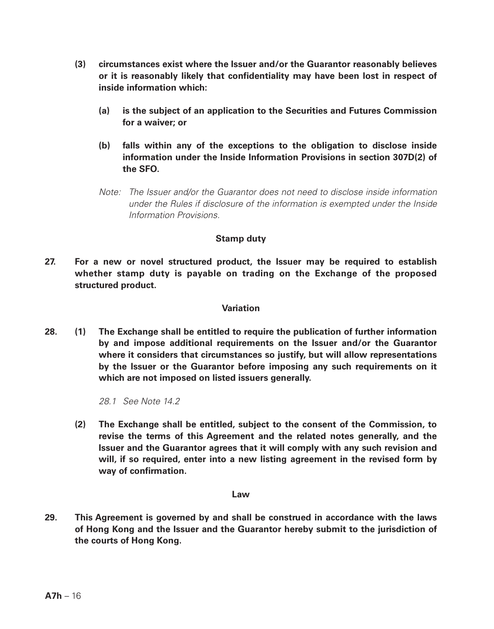- **(3) circumstances exist where the Issuer and/or the Guarantor reasonably believes or it is reasonably likely that confidentiality may have been lost in respect of inside information which:**
	- **(a) is the subject of an application to the Securities and Futures Commission for a waiver; or**
	- **(b) falls within any of the exceptions to the obligation to disclose inside information under the Inside Information Provisions in section 307D(2) of the SFO.**
	- *Note: The Issuer and/or the Guarantor does not need to disclose inside information under the Rules if disclosure of the information is exempted under the Inside Information Provisions.*

### **Stamp duty**

**27. For a new or novel structured product, the Issuer may be required to establish whether stamp duty is payable on trading on the Exchange of the proposed structured product.**

#### **Variation**

**28. (1) The Exchange shall be entitled to require the publication of further information by and impose additional requirements on the Issuer and/or the Guarantor where it considers that circumstances so justify, but will allow representations by the Issuer or the Guarantor before imposing any such requirements on it which are not imposed on listed issuers generally.**

*28.1 See Note 14.2*

**(2) The Exchange shall be entitled, subject to the consent of the Commission, to revise the terms of this Agreement and the related notes generally, and the Issuer and the Guarantor agrees that it will comply with any such revision and will, if so required, enter into a new listing agreement in the revised form by way of confirmation.**

#### **Law**

**29. This Agreement is governed by and shall be construed in accordance with the laws of Hong Kong and the Issuer and the Guarantor hereby submit to the jurisdiction of the courts of Hong Kong.**